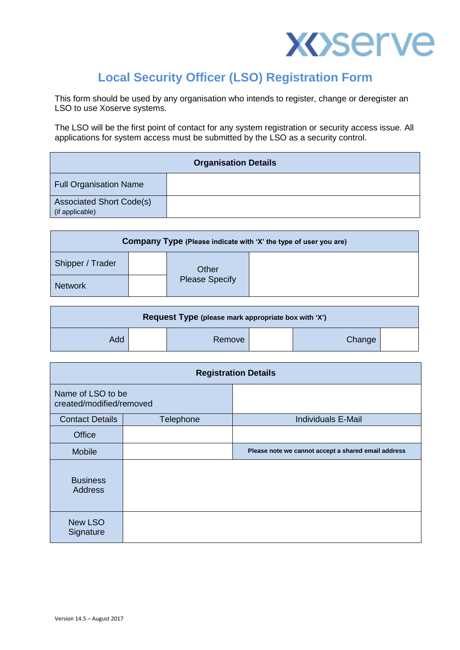

## **Local Security Officer (LSO) Registration Form**

This form should be used by any organisation who intends to register, change or deregister an LSO to use Xoserve systems.

The LSO will be the first point of contact for any system registration or security access issue. All applications for system access must be submitted by the LSO as a security control.

| <b>Organisation Details</b>                        |  |  |
|----------------------------------------------------|--|--|
| <b>Full Organisation Name</b>                      |  |  |
| <b>Associated Short Code(s)</b><br>(if applicable) |  |  |

| Company Type (Please indicate with 'X' the type of user you are) |  |                                |  |
|------------------------------------------------------------------|--|--------------------------------|--|
| Shipper / Trader                                                 |  | Other<br><b>Please Specify</b> |  |
| <b>Network</b>                                                   |  |                                |  |

| Request Type (please mark appropriate box with 'X') |  |        |  |        |  |
|-----------------------------------------------------|--|--------|--|--------|--|
| Add                                                 |  | Remove |  | Change |  |

| <b>Registration Details</b>                   |           |                                                     |  |
|-----------------------------------------------|-----------|-----------------------------------------------------|--|
| Name of LSO to be<br>created/modified/removed |           |                                                     |  |
| <b>Contact Details</b>                        | Telephone | <b>Individuals E-Mail</b>                           |  |
| Office                                        |           |                                                     |  |
| <b>Mobile</b>                                 |           | Please note we cannot accept a shared email address |  |
| <b>Business</b><br><b>Address</b>             |           |                                                     |  |
| New LSO<br>Signature                          |           |                                                     |  |